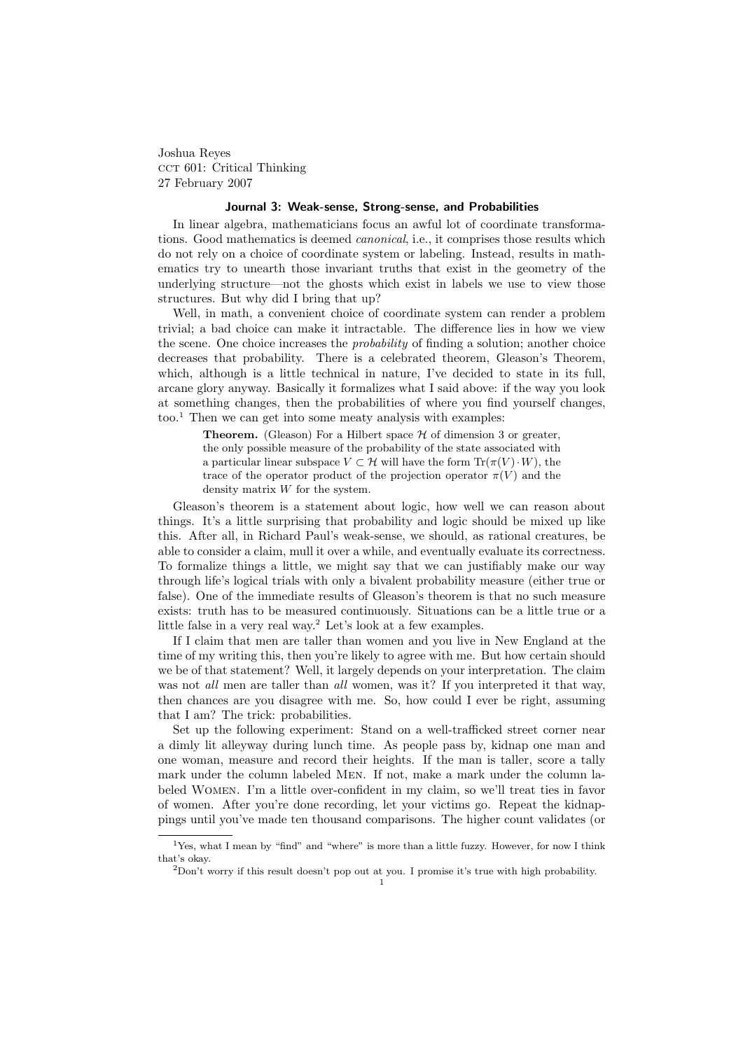Joshua Reyes CCT 601: Critical Thinking 27 February 2007

## Journal 3: Weak-sense, Strong-sense, and Probabilities

In linear algebra, mathematicians focus an awful lot of coordinate transformations. Good mathematics is deemed canonical, i.e., it comprises those results which do not rely on a choice of coordinate system or labeling. Instead, results in mathematics try to unearth those invariant truths that exist in the geometry of the underlying structure—not the ghosts which exist in labels we use to view those structures. But why did I bring that up?

Well, in math, a convenient choice of coordinate system can render a problem trivial; a bad choice can make it intractable. The difference lies in how we view the scene. One choice increases the *probability* of finding a solution; another choice decreases that probability. There is a celebrated theorem, Gleason's Theorem, which, although is a little technical in nature, I've decided to state in its full, arcane glory anyway. Basically it formalizes what I said above: if the way you look at something changes, then the probabilities of where you find yourself changes,  $\text{too.}^1$  Then we can get into some meaty analysis with examples:

**Theorem.** (Gleason) For a Hilbert space  $H$  of dimension 3 or greater, the only possible measure of the probability of the state associated with a particular linear subspace  $V \subset \mathcal{H}$  will have the form  $\text{Tr}(\pi(V) \cdot W)$ , the trace of the operator product of the projection operator  $\pi(V)$  and the density matrix W for the system.

Gleason's theorem is a statement about logic, how well we can reason about things. It's a little surprising that probability and logic should be mixed up like this. After all, in Richard Paul's weak-sense, we should, as rational creatures, be able to consider a claim, mull it over a while, and eventually evaluate its correctness. To formalize things a little, we might say that we can justifiably make our way through life's logical trials with only a bivalent probability measure (either true or false). One of the immediate results of Gleason's theorem is that no such measure exists: truth has to be measured continuously. Situations can be a little true or a little false in a very real way.<sup>2</sup> Let's look at a few examples.

If I claim that men are taller than women and you live in New England at the time of my writing this, then you're likely to agree with me. But how certain should we be of that statement? Well, it largely depends on your interpretation. The claim was not all men are taller than all women, was it? If you interpreted it that way, then chances are you disagree with me. So, how could I ever be right, assuming that I am? The trick: probabilities.

Set up the following experiment: Stand on a well-trafficked street corner near a dimly lit alleyway during lunch time. As people pass by, kidnap one man and one woman, measure and record their heights. If the man is taller, score a tally mark under the column labeled Men. If not, make a mark under the column labeled Women. I'm a little over-confident in my claim, so we'll treat ties in favor of women. After you're done recording, let your victims go. Repeat the kidnappings until you've made ten thousand comparisons. The higher count validates (or

<sup>&</sup>lt;sup>1</sup>Yes, what I mean by "find" and "where" is more than a little fuzzy. However, for now I think that's okay.

<sup>2</sup>Don't worry if this result doesn't pop out at you. I promise it's true with high probability.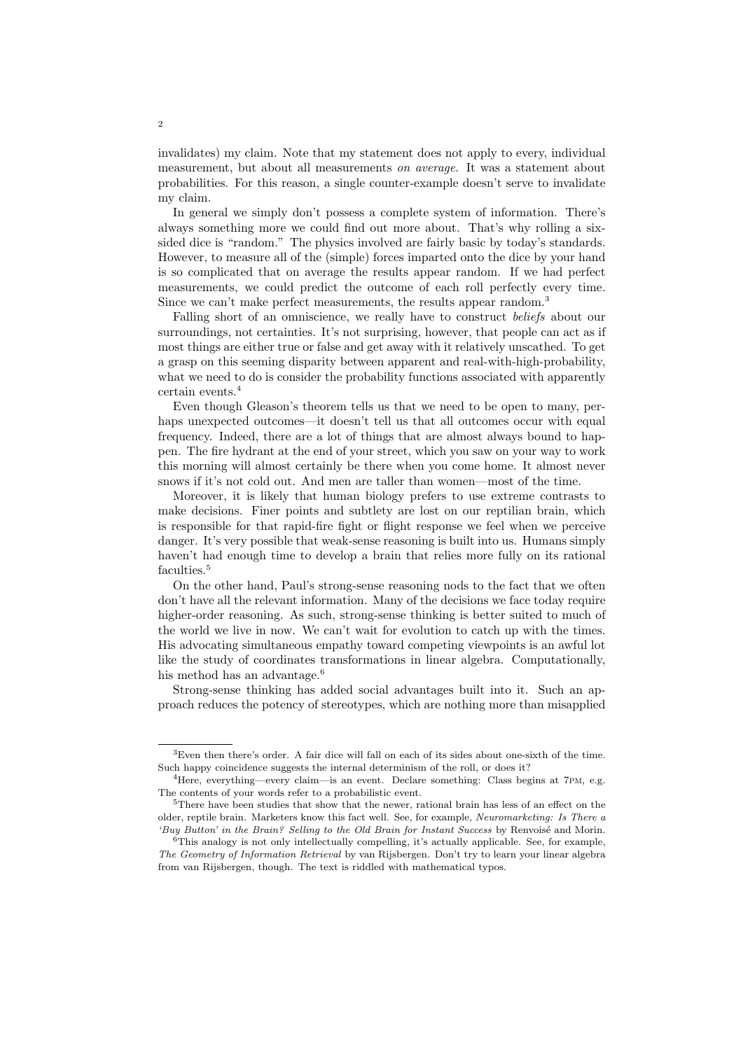invalidates) my claim. Note that my statement does not apply to every, individual measurement, but about all measurements on average. It was a statement about probabilities. For this reason, a single counter-example doesn't serve to invalidate my claim.

In general we simply don't possess a complete system of information. There's always something more we could find out more about. That's why rolling a sixsided dice is "random." The physics involved are fairly basic by today's standards. However, to measure all of the (simple) forces imparted onto the dice by your hand is so complicated that on average the results appear random. If we had perfect measurements, we could predict the outcome of each roll perfectly every time. Since we can't make perfect measurements, the results appear random.<sup>3</sup>

Falling short of an omniscience, we really have to construct beliefs about our surroundings, not certainties. It's not surprising, however, that people can act as if most things are either true or false and get away with it relatively unscathed. To get a grasp on this seeming disparity between apparent and real-with-high-probability, what we need to do is consider the probability functions associated with apparently certain events.<sup>4</sup>

Even though Gleason's theorem tells us that we need to be open to many, perhaps unexpected outcomes—it doesn't tell us that all outcomes occur with equal frequency. Indeed, there are a lot of things that are almost always bound to happen. The fire hydrant at the end of your street, which you saw on your way to work this morning will almost certainly be there when you come home. It almost never snows if it's not cold out. And men are taller than women—most of the time.

Moreover, it is likely that human biology prefers to use extreme contrasts to make decisions. Finer points and subtlety are lost on our reptilian brain, which is responsible for that rapid-fire fight or flight response we feel when we perceive danger. It's very possible that weak-sense reasoning is built into us. Humans simply haven't had enough time to develop a brain that relies more fully on its rational faculties.<sup>5</sup>

On the other hand, Paul's strong-sense reasoning nods to the fact that we often don't have all the relevant information. Many of the decisions we face today require higher-order reasoning. As such, strong-sense thinking is better suited to much of the world we live in now. We can't wait for evolution to catch up with the times. His advocating simultaneous empathy toward competing viewpoints is an awful lot like the study of coordinates transformations in linear algebra. Computationally, his method has an advantage.<sup>6</sup>

Strong-sense thinking has added social advantages built into it. Such an approach reduces the potency of stereotypes, which are nothing more than misapplied

<sup>3</sup>Even then there's order. A fair dice will fall on each of its sides about one-sixth of the time. Such happy coincidence suggests the internal determinism of the roll, or does it?

<sup>4</sup>Here, everything—every claim—is an event. Declare something: Class begins at 7pm, e.g. The contents of your words refer to a probabilistic event.

<sup>5</sup>There have been studies that show that the newer, rational brain has less of an effect on the older, reptile brain. Marketers know this fact well. See, for example, Neuromarketing: Is There a 'Buy Button' in the Brain? Selling to the Old Brain for Instant Success by Renvoisé and Morin.

<sup>&</sup>lt;sup>6</sup>This analogy is not only intellectually compelling, it's actually applicable. See, for example, The Geometry of Information Retrieval by van Rijsbergen. Don't try to learn your linear algebra from van Rijsbergen, though. The text is riddled with mathematical typos.